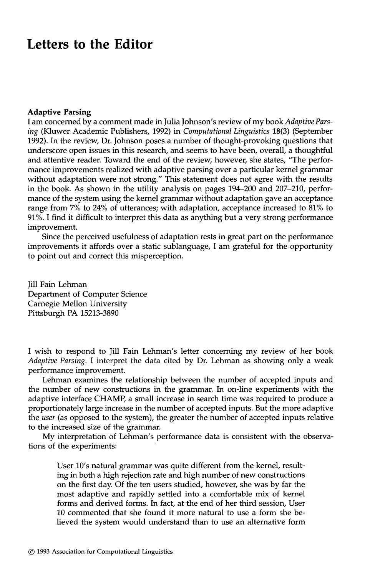## **Letters to the Editor**

## **Adaptive Parsing**

I am concerned by a comment made in Julia Johnson's review of my book *Adaptive Parsing* (Kluwer Academic Publishers, 1992) in *Computational Linguistics* 18(3) (September 1992). In the review, Dr. Johnson poses a number of thought-provoking questions that underscore open issues in this research, and seems to have been, overall, a thoughtful and attentive reader. Toward the end of the review, however, she states, "The performance improvements realized with adaptive parsing over a particular kernel grammar without adaptation were not strong." This statement does not agree with the results in the book. As shown in the utility analysis on pages 194-200 and 207-210, performance of the system using the kernel grammar without adaptation gave an acceptance range from 7% to 24% of utterances; with adaptation, acceptance increased to 81% to 91%. I find it difficult to interpret this data as anything but a very strong performance improvement.

Since the perceived usefulness of adaptation rests in great part on the performance improvements it affords over a static sublanguage, I am grateful for the opportunity to point out and correct this misperception.

Jill Fain Lehman Department of Computer Science Carnegie Mellon University Pittsburgh PA 15213-3890

I wish to respond to Jill Fain Lehman's letter concerning my review of her book *Adaptive Parsing.* I interpret the data cited by Dr. Lehman as showing only a weak performance improvement.

Lehman examines the relationship between the number of accepted inputs and the number of new constructions in the grammar. In on-line experiments with the adaptive interface CHAMP, a small increase in search time was required to produce a proportionately large increase in the number of accepted inputs. But the more adaptive the *user* (as opposed to the system), the greater the number of accepted inputs relative to the increased size of the grammar.

My interpretation of Lehman's performance data is consistent with the observations of the experiments:

User 10's natural grammar was quite different from the kernel, resulting in both a high rejection rate and high number of new constructions on the first day. Of the ten users studied, however, she was by far the most adaptive and rapidly settled into a comfortable mix of kernel forms and derived forms. In fact, at the end of her third session, User 10 commented that she found it more natural to use a form she believed the system would understand than to use an alternative form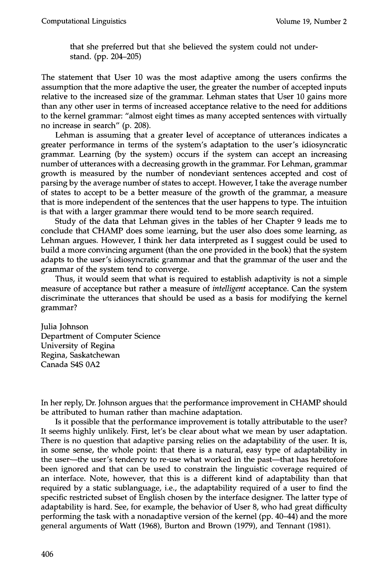that she preferred but that she believed the system could not understand. (pp. 204-205)

The statement that User 10 was the most adaptive among the users confirms the assumption that the more adaptive the user, the greater the number of accepted inputs relative to the increased size of the grammar. Lehman states that User 10 gains more than any other user in terms of increased acceptance relative to the need for additions to the kernel grammar: "almost eight times as many accepted sentences with virtually no increase in search" (p. 208).

Lehman is assuming that a greater level of acceptance of utterances indicates a greater performance in terms of the system's adaptation to the user's idiosyncratic grammar. Learning (by the system) occurs if the system can accept an increasing number of utterances with a decreasing growth in the grammar. For Lehman, grammar growth is measured by the number of nondeviant sentences accepted and cost of parsing by the average number of states to accept. However, ! take the average number of states to accept to be a better measure of the growth of the grammar, a measure that is more independent of the sentences that the user happens to type. The intuition is that with a larger grammar there would tend to be more search required.

Study of the data that Lehman gives in the tables of her Chapter 9 leads me to conclude that CHAMP does some learning, but the user also does some learning, as Lehman argues. However, I think her data interpreted as I suggest could be used to build a more convincing argument (than the one provided in the book) that the system adapts to the user's idiosyncratic grammar and that the grammar of the user and the grammar of the system tend to converge.

Thus, it would seem that what is required to establish adaptivity is not a simple measure of acceptance but rather a measure of *intelligent* acceptance. Can the system discriminate the utterances that should be used as a basis for modifying the kernel grammar?

Julia Johnson Department of Computer Science University of Regina Regina, Saskatchewan Canada \$4S 0A2

In her reply, Dr. Johnson argues thai: the performance improvement in CHAMP should be attributed to human rather than machine adaptation.

Is it possible that the performance improvement is totally attributable to the user? It seems highly unlikely. First, let's be clear about what we mean by user adaptation. There is no question that adaptive parsing relies on the adaptability of the user. It is, in some sense, the whole point: that there is a natural, easy type of adaptability in the user---the user's tendency to re-use what worked in the past----that has heretofore been ignored and that can be used to constrain the linguistic coverage required of an interface. Note, however, that this is a different kind of adaptability than that required by a static sublanguage, i.e., the adaptability required of a user to find the specific restricted subset of English chosen by the interface designer. The latter type of adaptability is hard. See, for example, the behavior of User 8, who had great difficulty performing the task with a nonadaptive version of the kernel (pp. 40-44) and the more general arguments of Watt (1968), Burton and Brown (1979), and Tennant (1981).